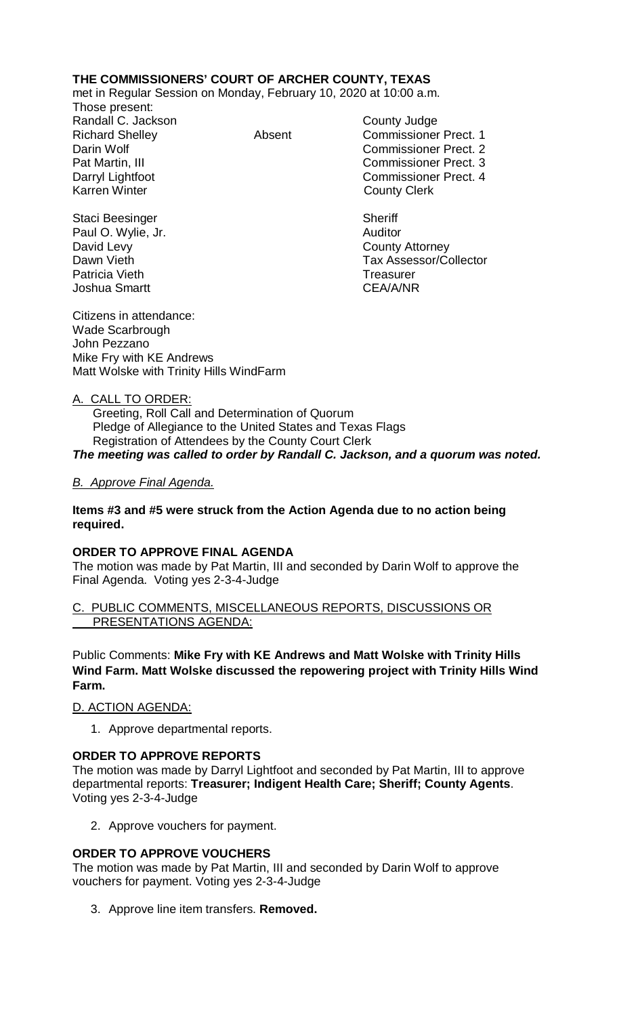# **THE COMMISSIONERS' COURT OF ARCHER COUNTY, TEXAS**

met in Regular Session on Monday, February 10, 2020 at 10:00 a.m.

Those present: Randall C. Jackson County Judge

Richard Shelley Absent Commissioner Prect. 1 Darin Wolf Commissioner Prect. 2 Pat Martin, III Commissioner Prect. 3 Darryl Lightfoot **Commissioner Prect. 4**<br>
Karren Winter **County County Clerk County Clerk** 

Dawn Vieth **Tax Assessor/Collector** 

Staci Beesinger Sheriff Paul O. Wylie, Jr. **Auditor Paul O. Wylie, Jr. Auditor** David Levy **County Attorney** Patricia Vieth **Treasurer** Treasurer Joshua Smartt CEA/A/NR

Citizens in attendance: Wade Scarbrough John Pezzano Mike Fry with KE Andrews Matt Wolske with Trinity Hills WindFarm

## A. CALL TO ORDER:

 Greeting, Roll Call and Determination of Quorum Pledge of Allegiance to the United States and Texas Flags Registration of Attendees by the County Court Clerk *The meeting was called to order by Randall C. Jackson, and a quorum was noted.*

### *B. Approve Final Agenda.*

### **Items #3 and #5 were struck from the Action Agenda due to no action being required.**

#### **ORDER TO APPROVE FINAL AGENDA**

The motion was made by Pat Martin, III and seconded by Darin Wolf to approve the Final Agenda. Voting yes 2-3-4-Judge

#### C. PUBLIC COMMENTS, MISCELLANEOUS REPORTS, DISCUSSIONS OR PRESENTATIONS AGENDA:

Public Comments: **Mike Fry with KE Andrews and Matt Wolske with Trinity Hills Wind Farm. Matt Wolske discussed the repowering project with Trinity Hills Wind Farm.**

#### D. ACTION AGENDA:

1. Approve departmental reports.

## **ORDER TO APPROVE REPORTS**

The motion was made by Darryl Lightfoot and seconded by Pat Martin, III to approve departmental reports: **Treasurer; Indigent Health Care; Sheriff; County Agents**. Voting yes 2-3-4-Judge

2. Approve vouchers for payment.

## **ORDER TO APPROVE VOUCHERS**

The motion was made by Pat Martin, III and seconded by Darin Wolf to approve vouchers for payment. Voting yes 2-3-4-Judge

3. Approve line item transfers. **Removed.**